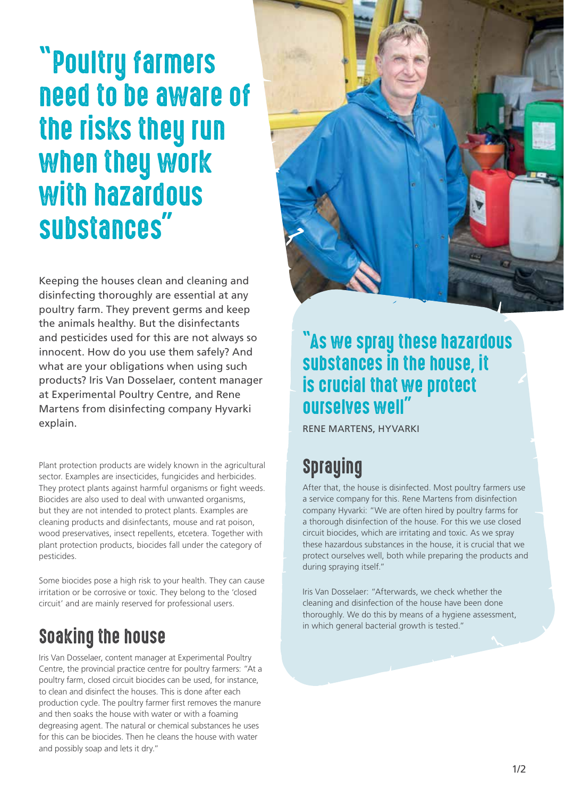# "Poultry farmers need to be aware of the risks they run when they work with hazardous substances"

Keeping the houses clean and cleaning and disinfecting thoroughly are essential at any poultry farm. They prevent germs and keep the animals healthy. But the disinfectants and pesticides used for this are not always so innocent. How do you use them safely? And what are your obligations when using such products? Iris Van Dosselaer, content manager at Experimental Poultry Centre, and Rene Martens from disinfecting company Hyvarki explain.

Plant protection products are widely known in the agricultural sector. Examples are insecticides, fungicides and herbicides. They protect plants against harmful organisms or fight weeds. Biocides are also used to deal with unwanted organisms, but they are not intended to protect plants. Examples are cleaning products and disinfectants, mouse and rat poison, wood preservatives, insect repellents, etcetera. Together with plant protection products, biocides fall under the category of pesticides.

Some biocides pose a high risk to your health. They can cause irritation or be corrosive or toxic. They belong to the 'closed circuit' and are mainly reserved for professional users.

# Soaking the house

Iris Van Dosselaer, content manager at Experimental Poultry Centre, the provincial practice centre for poultry farmers: "At a poultry farm, closed circuit biocides can be used, for instance, to clean and disinfect the houses. This is done after each production cycle. The poultry farmer first removes the manure and then soaks the house with water or with a foaming degreasing agent. The natural or chemical substances he uses for this can be biocides. Then he cleans the house with water and possibly soap and lets it dry."



#### "As we spray these hazardous substances in the house, it is crucial that we protect ourselves well"

RENE MARTENS, HYVARKI

# Spraying

After that, the house is disinfected. Most poultry farmers use a service company for this. Rene Martens from disinfection company Hyvarki: "We are often hired by poultry farms for a thorough disinfection of the house. For this we use closed circuit biocides, which are irritating and toxic. As we spray these hazardous substances in the house, it is crucial that we protect ourselves well, both while preparing the products and during spraying itself."

Iris Van Dosselaer: "Afterwards, we check whether the cleaning and disinfection of the house have been done thoroughly. We do this by means of a hygiene assessment, in which general bacterial growth is tested."